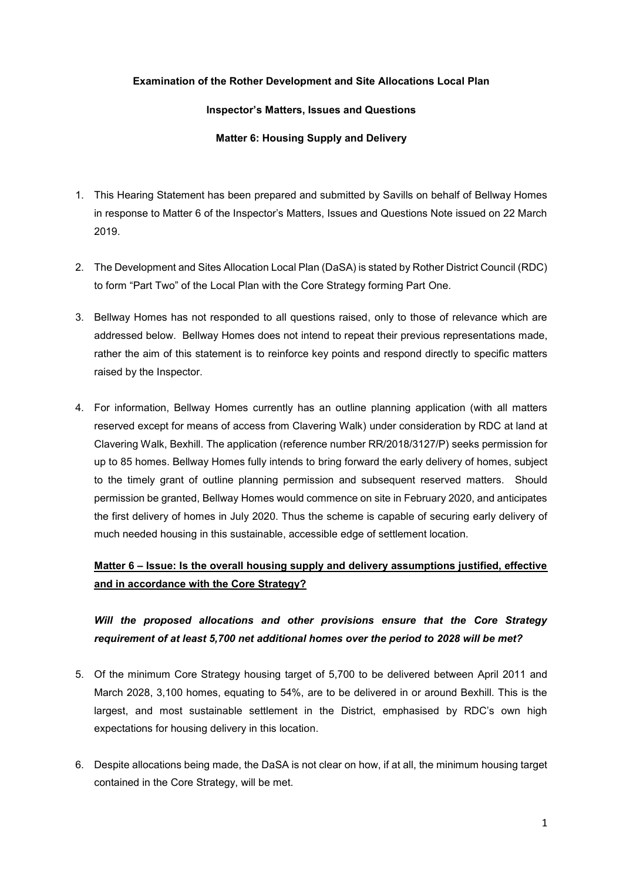### **Examination of the Rother Development and Site Allocations Local Plan**

### **Inspector's Matters, Issues and Questions**

### **Matter 6: Housing Supply and Delivery**

- 1. This Hearing Statement has been prepared and submitted by Savills on behalf of Bellway Homes in response to Matter 6 of the Inspector's Matters, Issues and Questions Note issued on 22 March 2019.
- 2. The Development and Sites Allocation Local Plan (DaSA) is stated by Rother District Council (RDC) to form "Part Two" of the Local Plan with the Core Strategy forming Part One.
- 3. Bellway Homes has not responded to all questions raised, only to those of relevance which are addressed below. Bellway Homes does not intend to repeat their previous representations made, rather the aim of this statement is to reinforce key points and respond directly to specific matters raised by the Inspector.
- 4. For information, Bellway Homes currently has an outline planning application (with all matters reserved except for means of access from Clavering Walk) under consideration by RDC at land at Clavering Walk, Bexhill. The application (reference number RR/2018/3127/P) seeks permission for up to 85 homes. Bellway Homes fully intends to bring forward the early delivery of homes, subject to the timely grant of outline planning permission and subsequent reserved matters. Should permission be granted, Bellway Homes would commence on site in February 2020, and anticipates the first delivery of homes in July 2020. Thus the scheme is capable of securing early delivery of much needed housing in this sustainable, accessible edge of settlement location.

### **Matter 6 – Issue: Is the overall housing supply and delivery assumptions justified, effective and in accordance with the Core Strategy?**

## *Will the proposed allocations and other provisions ensure that the Core Strategy requirement of at least 5,700 net additional homes over the period to 2028 will be met?*

- 5. Of the minimum Core Strategy housing target of 5,700 to be delivered between April 2011 and March 2028, 3,100 homes, equating to 54%, are to be delivered in or around Bexhill. This is the largest, and most sustainable settlement in the District, emphasised by RDC's own high expectations for housing delivery in this location.
- 6. Despite allocations being made, the DaSA is not clear on how, if at all, the minimum housing target contained in the Core Strategy, will be met.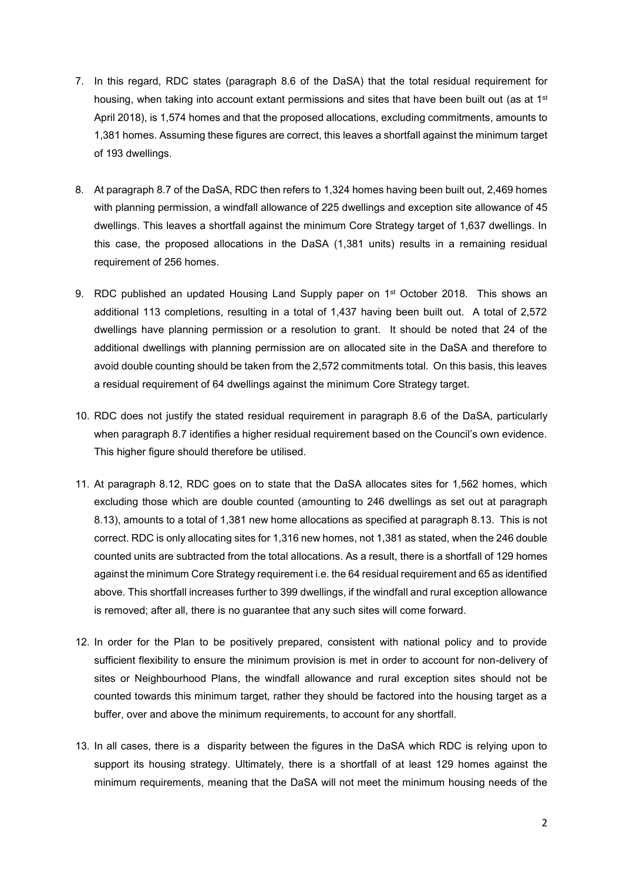- 7. In this regard, RDC states (paragraph 8.6 of the DaSA) that the total residual requirement for housing, when taking into account extant permissions and sites that have been built out (as at 1<sup>st</sup> April 2018), is 1,574 homes and that the proposed allocations, excluding commitments, amounts to 1,381 homes. Assuming these figures are correct, this leaves a shortfall against the minimum target of 193 dwellings.
- 8. At paragraph 8.7 of the DaSA, RDC then refers to 1,324 homes having been built out, 2,469 homes with planning permission, a windfall allowance of 225 dwellings and exception site allowance of 45 dwellings. This leaves a shortfall against the minimum Core Strategy target of 1,637 dwellings. In this case, the proposed allocations in the DaSA (1,381 units) results in a remaining residual requirement of 256 homes.
- 9. RDC published an updated Housing Land Supply paper on 1<sup>st</sup> October 2018. This shows an additional 113 completions, resulting in a total of 1,437 having been built out. A total of 2,572 dwellings have planning permission or a resolution to grant. It should be noted that 24 of the additional dwellings with planning permission are on allocated site in the DaSA and therefore to avoid double counting should be taken from the 2,572 commitments total. On this basis, this leaves a residual requirement of 64 dwellings against the minimum Core Strategy target.
- 10. RDC does not justify the stated residual requirement in paragraph 8.6 of the DaSA, particularly when paragraph 8.7 identifies a higher residual requirement based on the Council's own evidence. This higher figure should therefore be utilised.
- 11. At paragraph 8.12, RDC goes on to state that the DaSA allocates sites for 1,562 homes, which excluding those which are double counted (amounting to 246 dwellings as set out at paragraph 8.13), amounts to a total of 1,381 new home allocations as specified at paragraph 8.13. This is not correct. RDC is only allocating sites for 1,316 new homes, not 1,381 as stated, when the 246 double counted units are subtracted from the total allocations. As a result, there is a shortfall of 129 homes against the minimum Core Strategy requirement i.e. the 64 residual requirement and 65 as identified above. This shortfall increases further to 399 dwellings, if the windfall and rural exception allowance is removed; after all, there is no guarantee that any such sites will come forward.
- 12. In order for the Plan to be positively prepared, consistent with national policy and to provide sufficient flexibility to ensure the minimum provision is met in order to account for non-delivery of sites or Neighbourhood Plans, the windfall allowance and rural exception sites should not be counted towards this minimum target, rather they should be factored into the housing target as a buffer, over and above the minimum requirements, to account for any shortfall.
- 13. In all cases, there is a disparity between the figures in the DaSA which RDC is relying upon to support its housing strategy. Ultimately, there is a shortfall of at least 129 homes against the minimum requirements, meaning that the DaSA will not meet the minimum housing needs of the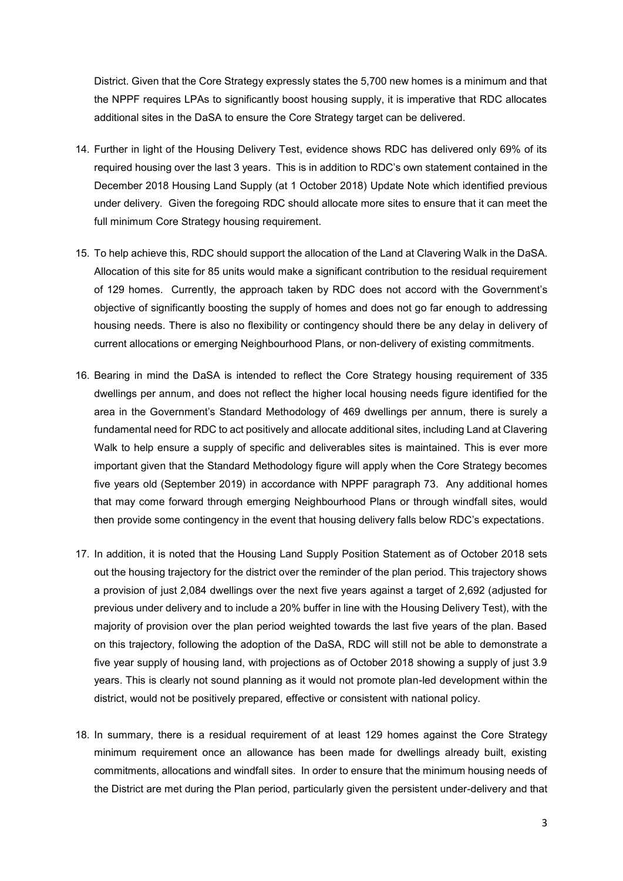District. Given that the Core Strategy expressly states the 5,700 new homes is a minimum and that the NPPF requires LPAs to significantly boost housing supply, it is imperative that RDC allocates additional sites in the DaSA to ensure the Core Strategy target can be delivered.

- 14. Further in light of the Housing Delivery Test, evidence shows RDC has delivered only 69% of its required housing over the last 3 years. This is in addition to RDC's own statement contained in the December 2018 Housing Land Supply (at 1 October 2018) Update Note which identified previous under delivery. Given the foregoing RDC should allocate more sites to ensure that it can meet the full minimum Core Strategy housing requirement.
- 15. To help achieve this, RDC should support the allocation of the Land at Clavering Walk in the DaSA. Allocation of this site for 85 units would make a significant contribution to the residual requirement of 129 homes. Currently, the approach taken by RDC does not accord with the Government's objective of significantly boosting the supply of homes and does not go far enough to addressing housing needs. There is also no flexibility or contingency should there be any delay in delivery of current allocations or emerging Neighbourhood Plans, or non-delivery of existing commitments.
- 16. Bearing in mind the DaSA is intended to reflect the Core Strategy housing requirement of 335 dwellings per annum, and does not reflect the higher local housing needs figure identified for the area in the Government's Standard Methodology of 469 dwellings per annum, there is surely a fundamental need for RDC to act positively and allocate additional sites, including Land at Clavering Walk to help ensure a supply of specific and deliverables sites is maintained. This is ever more important given that the Standard Methodology figure will apply when the Core Strategy becomes five years old (September 2019) in accordance with NPPF paragraph 73. Any additional homes that may come forward through emerging Neighbourhood Plans or through windfall sites, would then provide some contingency in the event that housing delivery falls below RDC's expectations.
- 17. In addition, it is noted that the Housing Land Supply Position Statement as of October 2018 sets out the housing trajectory for the district over the reminder of the plan period. This trajectory shows a provision of just 2,084 dwellings over the next five years against a target of 2,692 (adjusted for previous under delivery and to include a 20% buffer in line with the Housing Delivery Test), with the majority of provision over the plan period weighted towards the last five years of the plan. Based on this trajectory, following the adoption of the DaSA, RDC will still not be able to demonstrate a five year supply of housing land, with projections as of October 2018 showing a supply of just 3.9 years. This is clearly not sound planning as it would not promote plan-led development within the district, would not be positively prepared, effective or consistent with national policy.
- 18. In summary, there is a residual requirement of at least 129 homes against the Core Strategy minimum requirement once an allowance has been made for dwellings already built, existing commitments, allocations and windfall sites. In order to ensure that the minimum housing needs of the District are met during the Plan period, particularly given the persistent under-delivery and that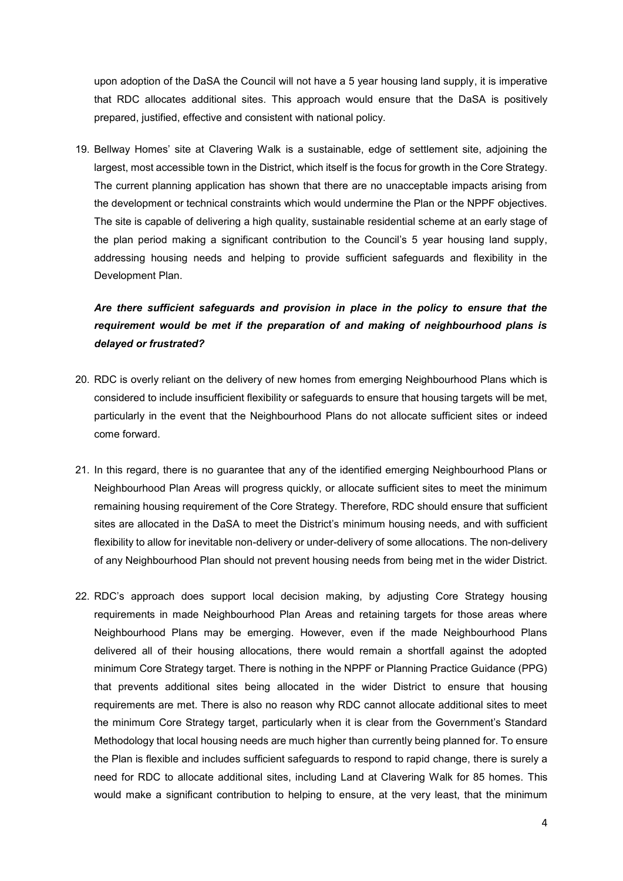upon adoption of the DaSA the Council will not have a 5 year housing land supply, it is imperative that RDC allocates additional sites. This approach would ensure that the DaSA is positively prepared, justified, effective and consistent with national policy.

19. Bellway Homes' site at Clavering Walk is a sustainable, edge of settlement site, adjoining the largest, most accessible town in the District, which itself is the focus for growth in the Core Strategy. The current planning application has shown that there are no unacceptable impacts arising from the development or technical constraints which would undermine the Plan or the NPPF objectives. The site is capable of delivering a high quality, sustainable residential scheme at an early stage of the plan period making a significant contribution to the Council's 5 year housing land supply, addressing housing needs and helping to provide sufficient safeguards and flexibility in the Development Plan.

# *Are there sufficient safeguards and provision in place in the policy to ensure that the requirement would be met if the preparation of and making of neighbourhood plans is delayed or frustrated?*

- 20. RDC is overly reliant on the delivery of new homes from emerging Neighbourhood Plans which is considered to include insufficient flexibility or safeguards to ensure that housing targets will be met, particularly in the event that the Neighbourhood Plans do not allocate sufficient sites or indeed come forward.
- 21. In this regard, there is no guarantee that any of the identified emerging Neighbourhood Plans or Neighbourhood Plan Areas will progress quickly, or allocate sufficient sites to meet the minimum remaining housing requirement of the Core Strategy. Therefore, RDC should ensure that sufficient sites are allocated in the DaSA to meet the District's minimum housing needs, and with sufficient flexibility to allow for inevitable non-delivery or under-delivery of some allocations. The non-delivery of any Neighbourhood Plan should not prevent housing needs from being met in the wider District.
- 22. RDC's approach does support local decision making, by adjusting Core Strategy housing requirements in made Neighbourhood Plan Areas and retaining targets for those areas where Neighbourhood Plans may be emerging. However, even if the made Neighbourhood Plans delivered all of their housing allocations, there would remain a shortfall against the adopted minimum Core Strategy target. There is nothing in the NPPF or Planning Practice Guidance (PPG) that prevents additional sites being allocated in the wider District to ensure that housing requirements are met. There is also no reason why RDC cannot allocate additional sites to meet the minimum Core Strategy target, particularly when it is clear from the Government's Standard Methodology that local housing needs are much higher than currently being planned for. To ensure the Plan is flexible and includes sufficient safeguards to respond to rapid change, there is surely a need for RDC to allocate additional sites, including Land at Clavering Walk for 85 homes. This would make a significant contribution to helping to ensure, at the very least, that the minimum